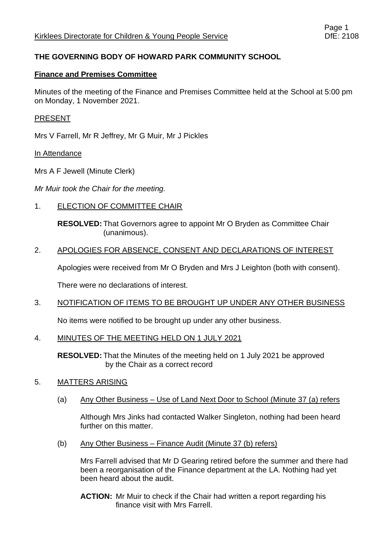# **THE GOVERNING BODY OF HOWARD PARK COMMUNITY SCHOOL**

### **Finance and Premises Committee**

Minutes of the meeting of the Finance and Premises Committee held at the School at 5:00 pm on Monday, 1 November 2021.

### PRESENT

Mrs V Farrell, Mr R Jeffrey, Mr G Muir, Mr J Pickles

### In Attendance

Mrs A F Jewell (Minute Clerk)

*Mr Muir took the Chair for the meeting.*

1. ELECTION OF COMMITTEE CHAIR

**RESOLVED:** That Governors agree to appoint Mr O Bryden as Committee Chair (unanimous).

## 2. APOLOGIES FOR ABSENCE, CONSENT AND DECLARATIONS OF INTEREST

Apologies were received from Mr O Bryden and Mrs J Leighton (both with consent).

There were no declarations of interest.

### 3. NOTIFICATION OF ITEMS TO BE BROUGHT UP UNDER ANY OTHER BUSINESS

No items were notified to be brought up under any other business.

### 4. MINUTES OF THE MEETING HELD ON 1 JULY 2021

**RESOLVED:** That the Minutes of the meeting held on 1 July 2021 be approved by the Chair as a correct record

### 5. MATTERS ARISING

(a) Any Other Business – Use of Land Next Door to School (Minute 37 (a) refers

Although Mrs Jinks had contacted Walker Singleton, nothing had been heard further on this matter.

(b) Any Other Business – Finance Audit (Minute  $37$  (b) refers)

Mrs Farrell advised that Mr D Gearing retired before the summer and there had been a reorganisation of the Finance department at the LA. Nothing had yet been heard about the audit.

**ACTION:** Mr Muir to check if the Chair had written a report regarding his finance visit with Mrs Farrell.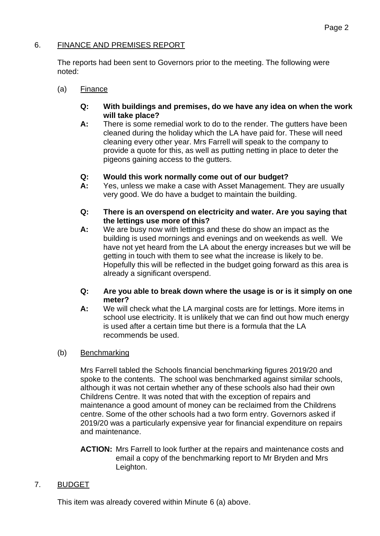# 6. FINANCE AND PREMISES REPORT

The reports had been sent to Governors prior to the meeting. The following were noted:

- (a) Finance
	- **Q: With buildings and premises, do we have any idea on when the work will take place?**
	- **A:** There is some remedial work to do to the render. The gutters have been cleaned during the holiday which the LA have paid for. These will need cleaning every other year. Mrs Farrell will speak to the company to provide a quote for this, as well as putting netting in place to deter the pigeons gaining access to the gutters.

## **Q: Would this work normally come out of our budget?**

- **A:** Yes, unless we make a case with Asset Management. They are usually very good. We do have a budget to maintain the building.
- **Q: There is an overspend on electricity and water. Are you saying that the lettings use more of this?**
- **A:** We are busy now with lettings and these do show an impact as the building is used mornings and evenings and on weekends as well. We have not yet heard from the LA about the energy increases but we will be getting in touch with them to see what the increase is likely to be. Hopefully this will be reflected in the budget going forward as this area is already a significant overspend.
- **Q: Are you able to break down where the usage is or is it simply on one meter?**
- **A:** We will check what the LA marginal costs are for lettings. More items in school use electricity. It is unlikely that we can find out how much energy is used after a certain time but there is a formula that the LA recommends be used.

### (b) Benchmarking

Mrs Farrell tabled the Schools financial benchmarking figures 2019/20 and spoke to the contents. The school was benchmarked against similar schools, although it was not certain whether any of these schools also had their own Childrens Centre. It was noted that with the exception of repairs and maintenance a good amount of money can be reclaimed from the Childrens centre. Some of the other schools had a two form entry. Governors asked if 2019/20 was a particularly expensive year for financial expenditure on repairs and maintenance.

**ACTION:** Mrs Farrell to look further at the repairs and maintenance costs and email a copy of the benchmarking report to Mr Bryden and Mrs Leighton.

# 7. BUDGET

This item was already covered within Minute 6 (a) above.